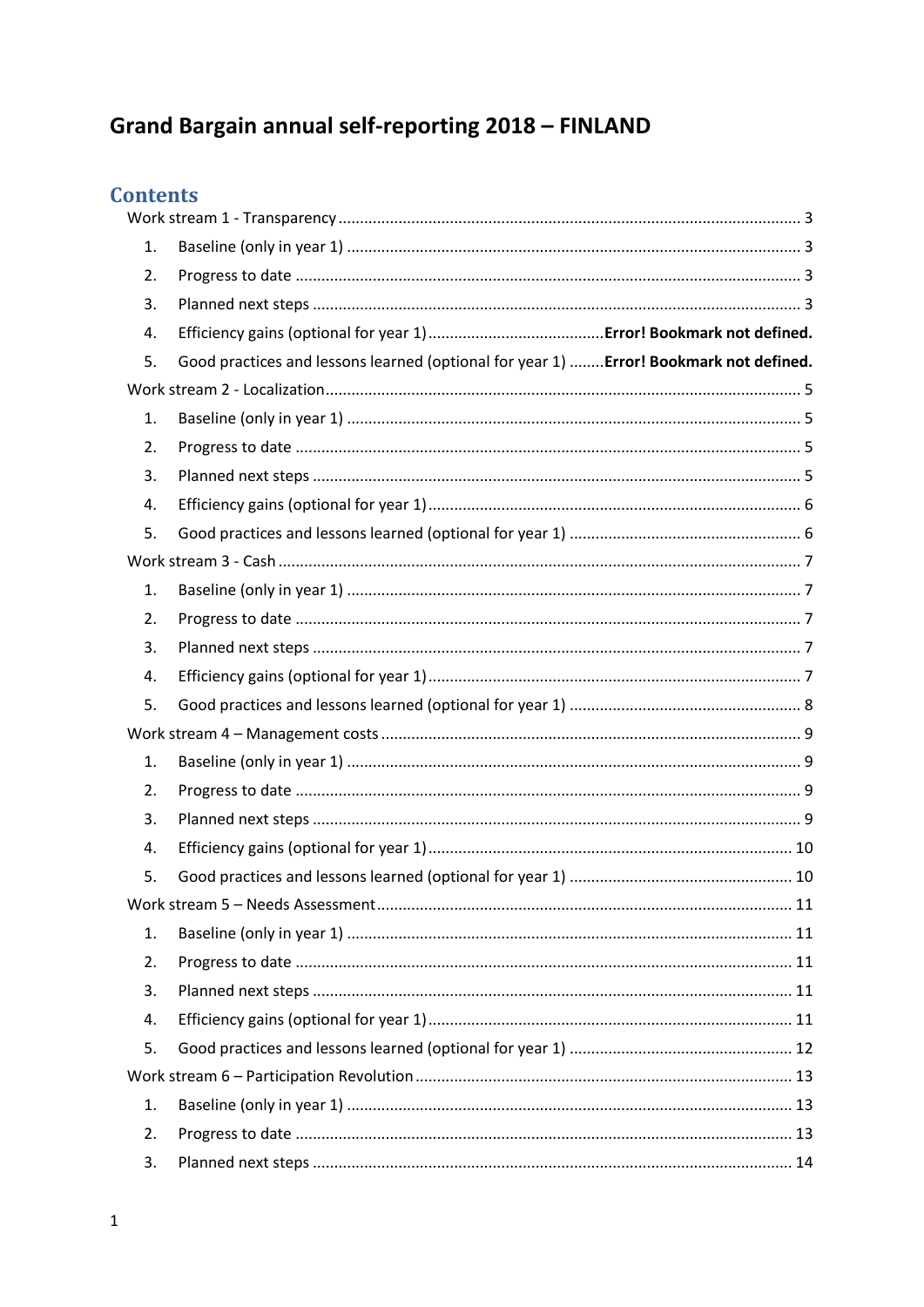# Grand Bargain annual self-reporting 2018 - FINLAND

## **Contents**

| 1. |                                                                                        |  |
|----|----------------------------------------------------------------------------------------|--|
| 2. |                                                                                        |  |
| 3. |                                                                                        |  |
| 4. |                                                                                        |  |
| 5. | Good practices and lessons learned (optional for year 1)  Error! Bookmark not defined. |  |
|    |                                                                                        |  |
| 1. |                                                                                        |  |
| 2. |                                                                                        |  |
| 3. |                                                                                        |  |
| 4. |                                                                                        |  |
| 5. |                                                                                        |  |
|    |                                                                                        |  |
| 1. |                                                                                        |  |
| 2. |                                                                                        |  |
| 3. |                                                                                        |  |
| 4. |                                                                                        |  |
| 5. |                                                                                        |  |
|    |                                                                                        |  |
| 1. |                                                                                        |  |
| 2. |                                                                                        |  |
| 3. |                                                                                        |  |
| 4. |                                                                                        |  |
| 5. |                                                                                        |  |
|    |                                                                                        |  |
| 1. |                                                                                        |  |
| 2. |                                                                                        |  |
| 3. |                                                                                        |  |
| 4. |                                                                                        |  |
| 5. |                                                                                        |  |
|    |                                                                                        |  |
| 1. |                                                                                        |  |
| 2. |                                                                                        |  |
| 3. |                                                                                        |  |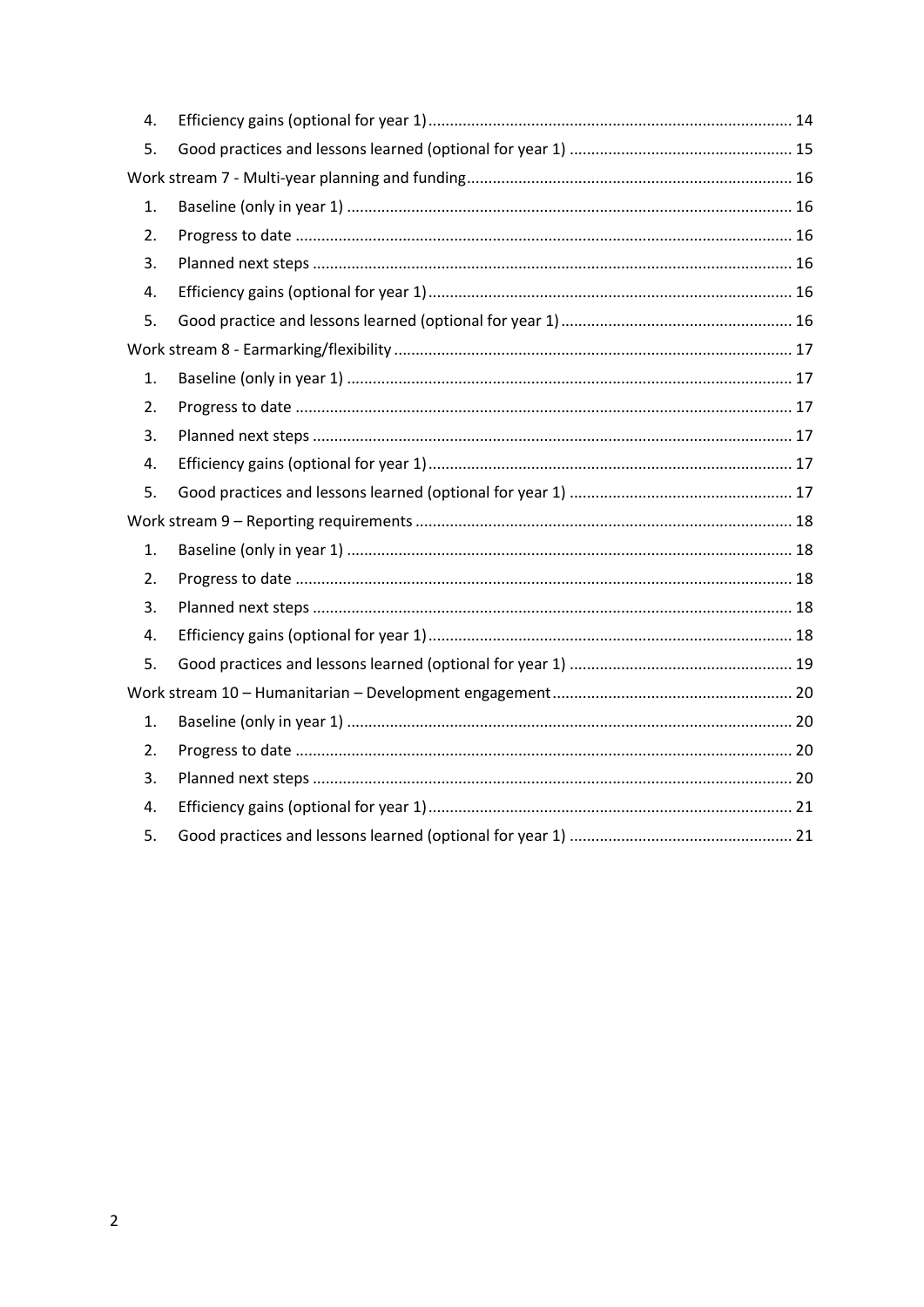| 4. |  |  |
|----|--|--|
| 5. |  |  |
|    |  |  |
| 1. |  |  |
| 2. |  |  |
| 3. |  |  |
| 4. |  |  |
| 5. |  |  |
|    |  |  |
| 1. |  |  |
| 2. |  |  |
| 3. |  |  |
| 4. |  |  |
| 5. |  |  |
|    |  |  |
| 1. |  |  |
| 2. |  |  |
| 3. |  |  |
| 4. |  |  |
| 5. |  |  |
|    |  |  |
| 1. |  |  |
| 2. |  |  |
| 3. |  |  |
| 4. |  |  |
| 5. |  |  |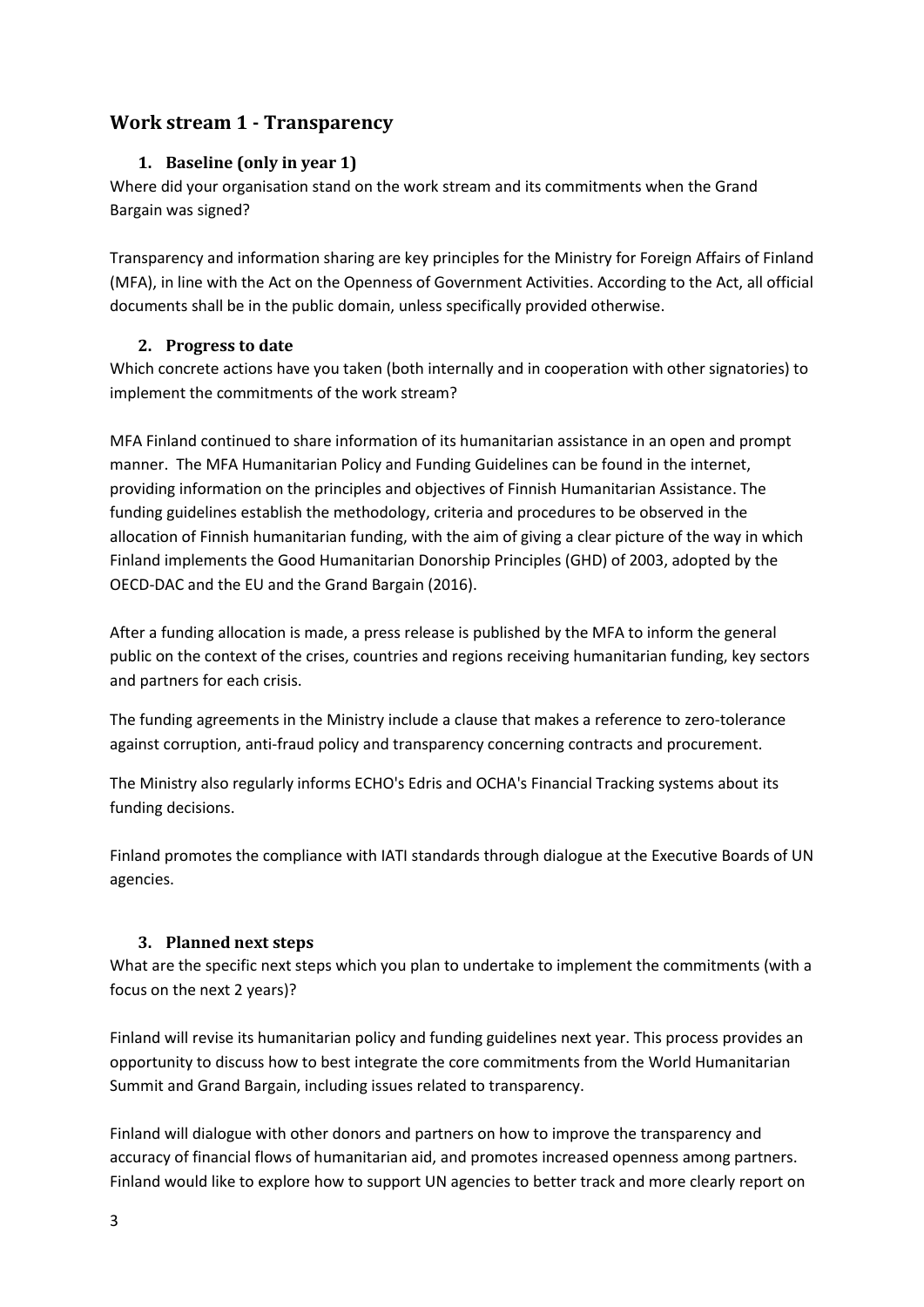## <span id="page-2-1"></span><span id="page-2-0"></span>**Work stream 1 - Transparency**

## **1. Baseline (only in year 1)**

Where did your organisation stand on the work stream and its commitments when the Grand Bargain was signed?

Transparency and information sharing are key principles for the Ministry for Foreign Affairs of Finland (MFA), in line with the Act on the Openness of Government Activities. According to the Act, all official documents shall be in the public domain, unless specifically provided otherwise.

#### **2. Progress to date**

<span id="page-2-2"></span>Which concrete actions have you taken (both internally and in cooperation with other signatories) to implement the commitments of the work stream?

MFA Finland continued to share information of its humanitarian assistance in an open and prompt manner. The MFA Humanitarian Policy and Funding Guidelines can be found in the internet, providing information on the principles and objectives of Finnish Humanitarian Assistance. The funding guidelines establish the methodology, criteria and procedures to be observed in the allocation of Finnish humanitarian funding, with the aim of giving a clear picture of the way in which Finland implements the Good Humanitarian Donorship Principles (GHD) of 2003, adopted by the OECD-DAC and the EU and the Grand Bargain (2016).

After a funding allocation is made, a press release is published by the MFA to inform the general public on the context of the crises, countries and regions receiving humanitarian funding, key sectors and partners for each crisis.

The funding agreements in the Ministry include a clause that makes a reference to zero-tolerance against corruption, anti-fraud policy and transparency concerning contracts and procurement.

The Ministry also regularly informs ECHO's Edris and OCHA's Financial Tracking systems about its funding decisions.

Finland promotes the compliance with IATI standards through dialogue at the Executive Boards of UN agencies.

## <span id="page-2-3"></span>**3. Planned next steps**

What are the specific next steps which you plan to undertake to implement the commitments (with a focus on the next 2 years)?

Finland will revise its humanitarian policy and funding guidelines next year. This process provides an opportunity to discuss how to best integrate the core commitments from the World Humanitarian Summit and Grand Bargain, including issues related to transparency.

Finland will dialogue with other donors and partners on how to improve the transparency and accuracy of financial flows of humanitarian aid, and promotes increased openness among partners. Finland would like to explore how to support UN agencies to better track and more clearly report on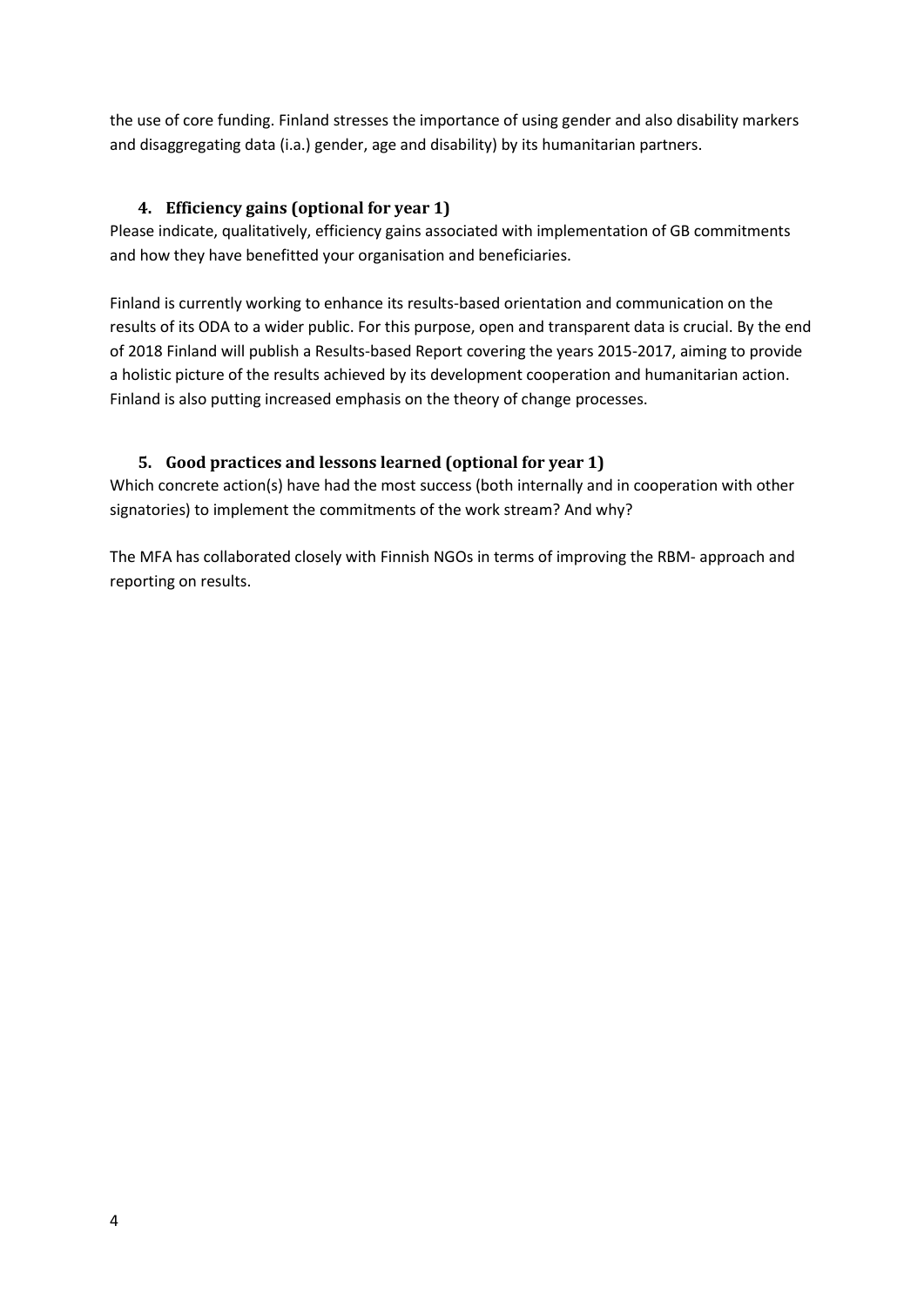the use of core funding. Finland stresses the importance of using gender and also disability markers and disaggregating data (i.a.) gender, age and disability) by its humanitarian partners.

## **4. Efficiency gains (optional for year 1)**

Please indicate, qualitatively, efficiency gains associated with implementation of GB commitments and how they have benefitted your organisation and beneficiaries.

Finland is currently working to enhance its results-based orientation and communication on the results of its ODA to a wider public. For this purpose, open and transparent data is crucial. By the end of 2018 Finland will publish a Results-based Report covering the years 2015-2017, aiming to provide a holistic picture of the results achieved by its development cooperation and humanitarian action. Finland is also putting increased emphasis on the theory of change processes.

## **5. Good practices and lessons learned (optional for year 1)**

Which concrete action(s) have had the most success (both internally and in cooperation with other signatories) to implement the commitments of the work stream? And why?

The MFA has collaborated closely with Finnish NGOs in terms of improving the RBM- approach and reporting on results.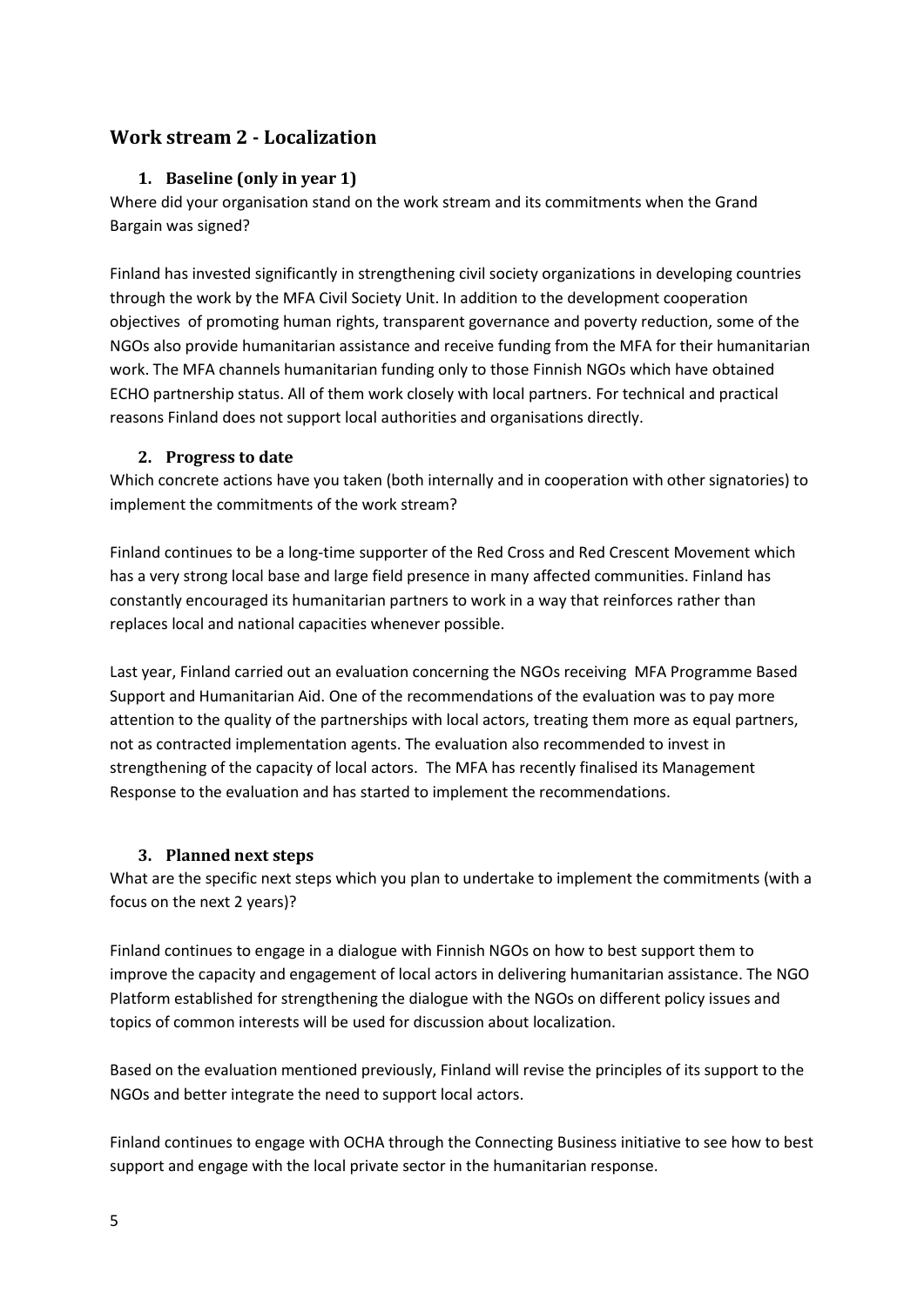## <span id="page-4-1"></span><span id="page-4-0"></span>**Work stream 2 - Localization**

#### **1. Baseline (only in year 1)**

Where did your organisation stand on the work stream and its commitments when the Grand Bargain was signed?

Finland has invested significantly in strengthening civil society organizations in developing countries through the work by the MFA Civil Society Unit. In addition to the development cooperation objectives of promoting human rights, transparent governance and poverty reduction, some of the NGOs also provide humanitarian assistance and receive funding from the MFA for their humanitarian work. The MFA channels humanitarian funding only to those Finnish NGOs which have obtained ECHO partnership status. All of them work closely with local partners. For technical and practical reasons Finland does not support local authorities and organisations directly.

#### **2. Progress to date**

<span id="page-4-2"></span>Which concrete actions have you taken (both internally and in cooperation with other signatories) to implement the commitments of the work stream?

Finland continues to be a long-time supporter of the Red Cross and Red Crescent Movement which has a very strong local base and large field presence in many affected communities. Finland has constantly encouraged its humanitarian partners to work in a way that reinforces rather than replaces local and national capacities whenever possible.

Last year, Finland carried out an evaluation concerning the NGOs receiving MFA Programme Based Support and Humanitarian Aid. One of the recommendations of the evaluation was to pay more attention to the quality of the partnerships with local actors, treating them more as equal partners, not as contracted implementation agents. The evaluation also recommended to invest in strengthening of the capacity of local actors. The MFA has recently finalised its Management Response to the evaluation and has started to implement the recommendations.

#### <span id="page-4-3"></span>**3. Planned next steps**

What are the specific next steps which you plan to undertake to implement the commitments (with a focus on the next 2 years)?

Finland continues to engage in a dialogue with Finnish NGOs on how to best support them to improve the capacity and engagement of local actors in delivering humanitarian assistance. The NGO Platform established for strengthening the dialogue with the NGOs on different policy issues and topics of common interests will be used for discussion about localization.

Based on the evaluation mentioned previously, Finland will revise the principles of its support to the NGOs and better integrate the need to support local actors.

Finland continues to engage with OCHA through the Connecting Business initiative to see how to best support and engage with the local private sector in the humanitarian response.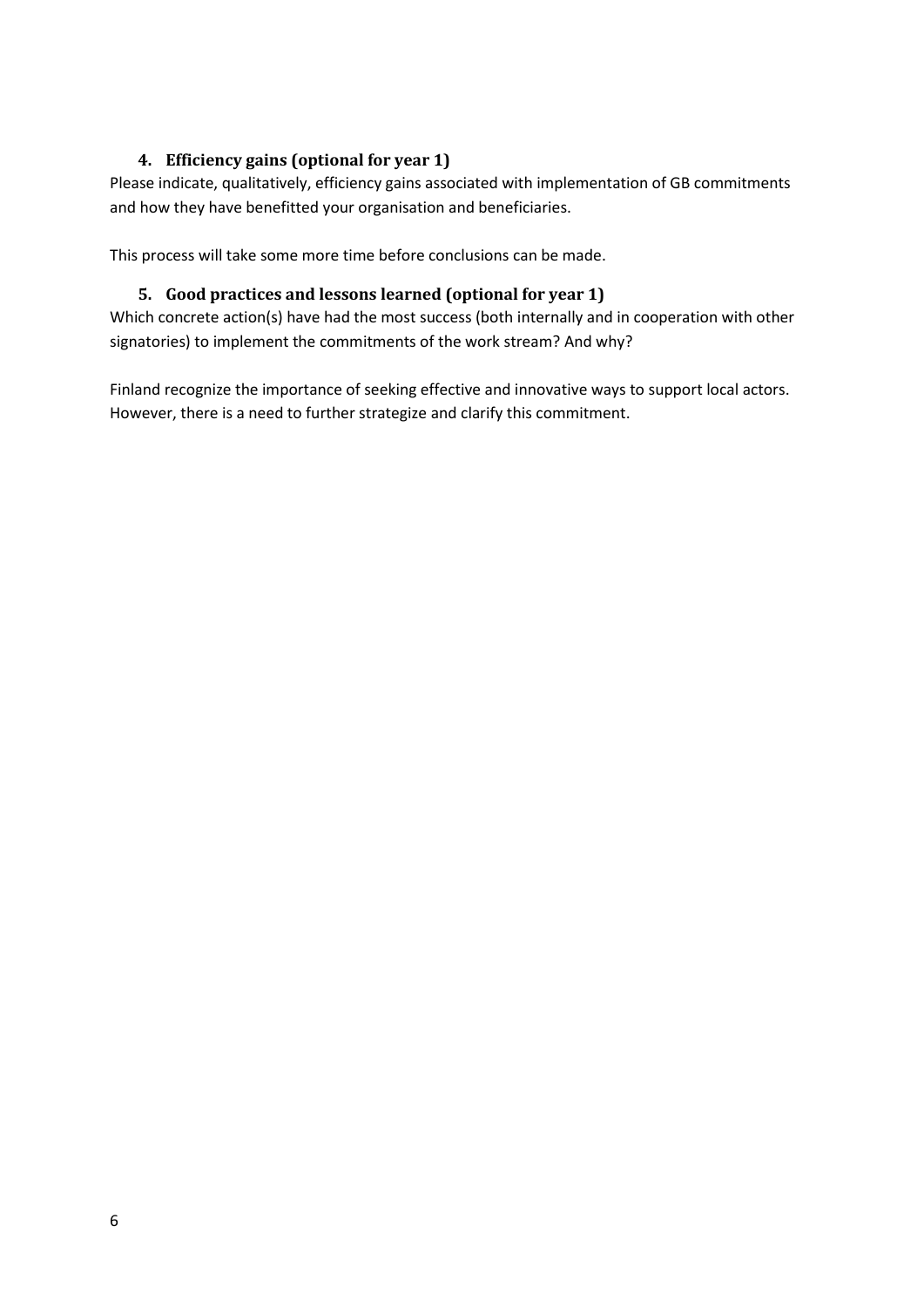## <span id="page-5-0"></span>**4. Efficiency gains (optional for year 1)**

Please indicate, qualitatively, efficiency gains associated with implementation of GB commitments and how they have benefitted your organisation and beneficiaries.

<span id="page-5-1"></span>This process will take some more time before conclusions can be made.

## **5. Good practices and lessons learned (optional for year 1)**

Which concrete action(s) have had the most success (both internally and in cooperation with other signatories) to implement the commitments of the work stream? And why?

Finland recognize the importance of seeking effective and innovative ways to support local actors. However, there is a need to further strategize and clarify this commitment.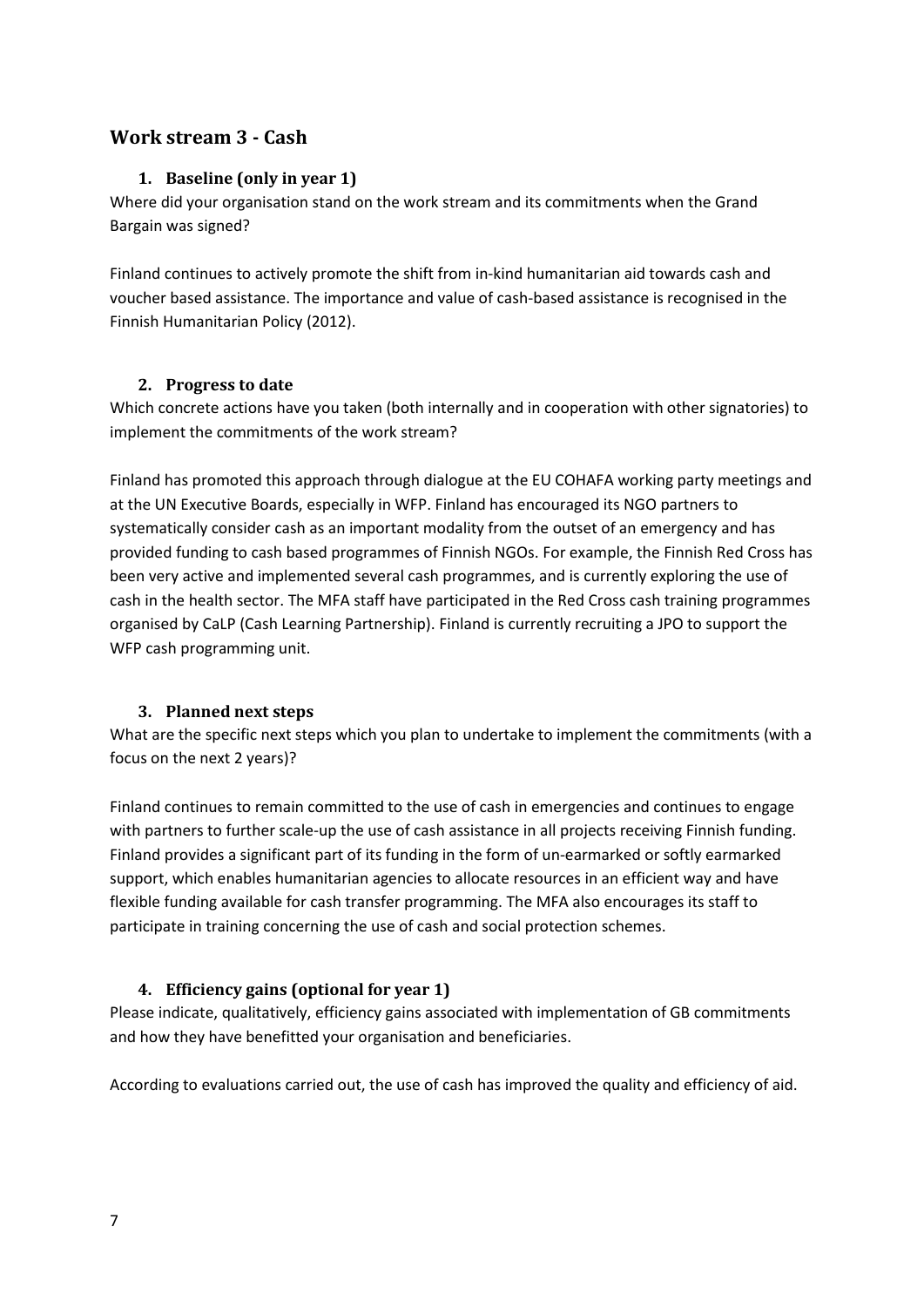## <span id="page-6-1"></span><span id="page-6-0"></span>**Work stream 3 - Cash**

#### **1. Baseline (only in year 1)**

Where did your organisation stand on the work stream and its commitments when the Grand Bargain was signed?

Finland continues to actively promote the shift from in-kind humanitarian aid towards cash and voucher based assistance. The importance and value of cash-based assistance is recognised in the Finnish Humanitarian Policy (2012).

#### <span id="page-6-2"></span>**2. Progress to date**

Which concrete actions have you taken (both internally and in cooperation with other signatories) to implement the commitments of the work stream?

Finland has promoted this approach through dialogue at the EU COHAFA working party meetings and at the UN Executive Boards, especially in WFP. Finland has encouraged its NGO partners to systematically consider cash as an important modality from the outset of an emergency and has provided funding to cash based programmes of Finnish NGOs. For example, the Finnish Red Cross has been very active and implemented several cash programmes, and is currently exploring the use of cash in the health sector. The MFA staff have participated in the Red Cross cash training programmes organised by CaLP (Cash Learning Partnership). Finland is currently recruiting a JPO to support the WFP cash programming unit.

## <span id="page-6-3"></span>**3. Planned next steps**

What are the specific next steps which you plan to undertake to implement the commitments (with a focus on the next 2 years)?

Finland continues to remain committed to the use of cash in emergencies and continues to engage with partners to further scale-up the use of cash assistance in all projects receiving Finnish funding. Finland provides a significant part of its funding in the form of un-earmarked or softly earmarked support, which enables humanitarian agencies to allocate resources in an efficient way and have flexible funding available for cash transfer programming. The MFA also encourages its staff to participate in training concerning the use of cash and social protection schemes.

## <span id="page-6-4"></span>**4. Efficiency gains (optional for year 1)**

Please indicate, qualitatively, efficiency gains associated with implementation of GB commitments and how they have benefitted your organisation and beneficiaries.

According to evaluations carried out, the use of cash has improved the quality and efficiency of aid.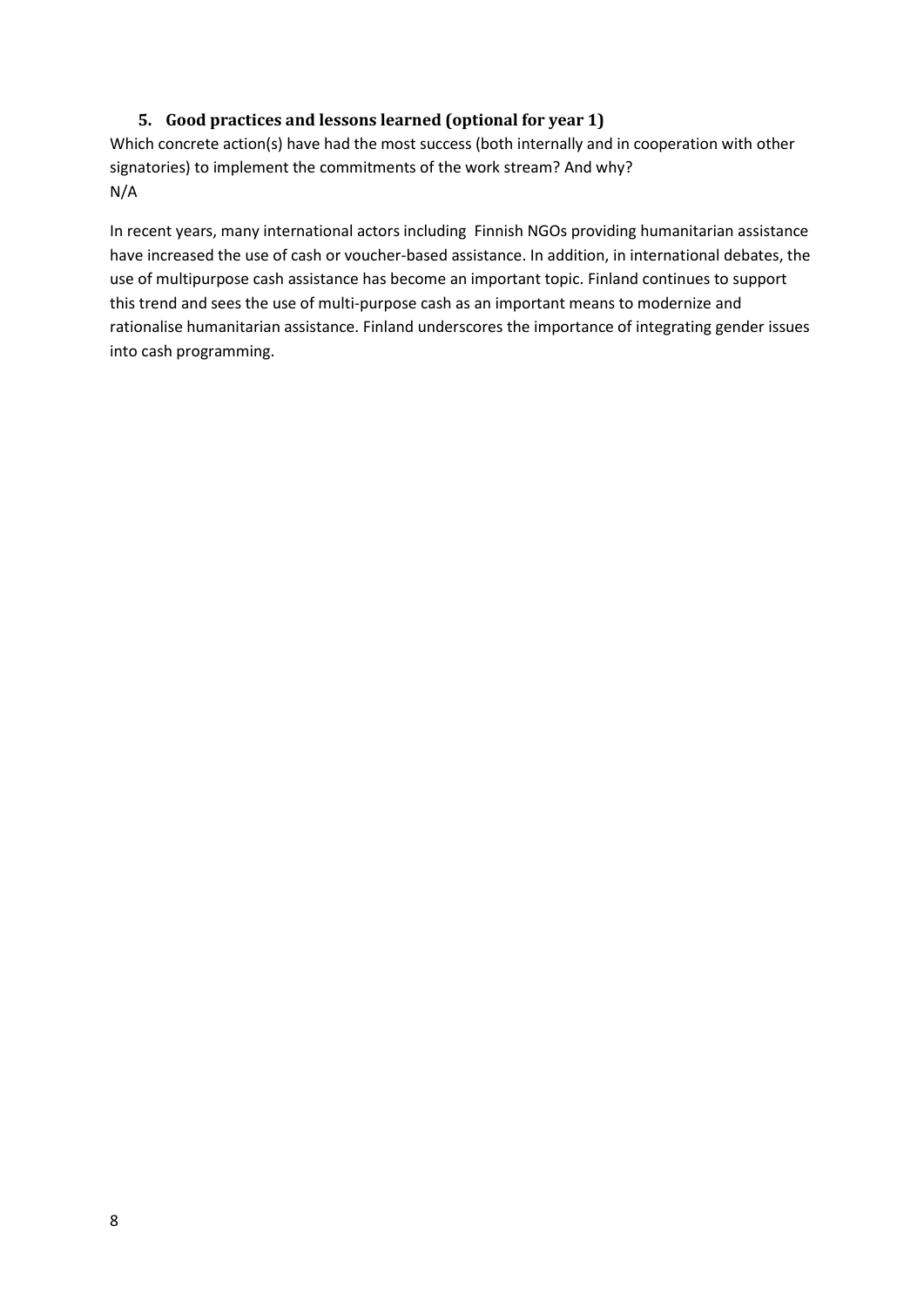## **5. Good practices and lessons learned (optional for year 1)**

<span id="page-7-0"></span>Which concrete action(s) have had the most success (both internally and in cooperation with other signatories) to implement the commitments of the work stream? And why? N/A

In recent years, many international actors including Finnish NGOs providing humanitarian assistance have increased the use of cash or voucher-based assistance. In addition, in international debates, the use of multipurpose cash assistance has become an important topic. Finland continues to support this trend and sees the use of multi-purpose cash as an important means to modernize and rationalise humanitarian assistance. Finland underscores the importance of integrating gender issues into cash programming.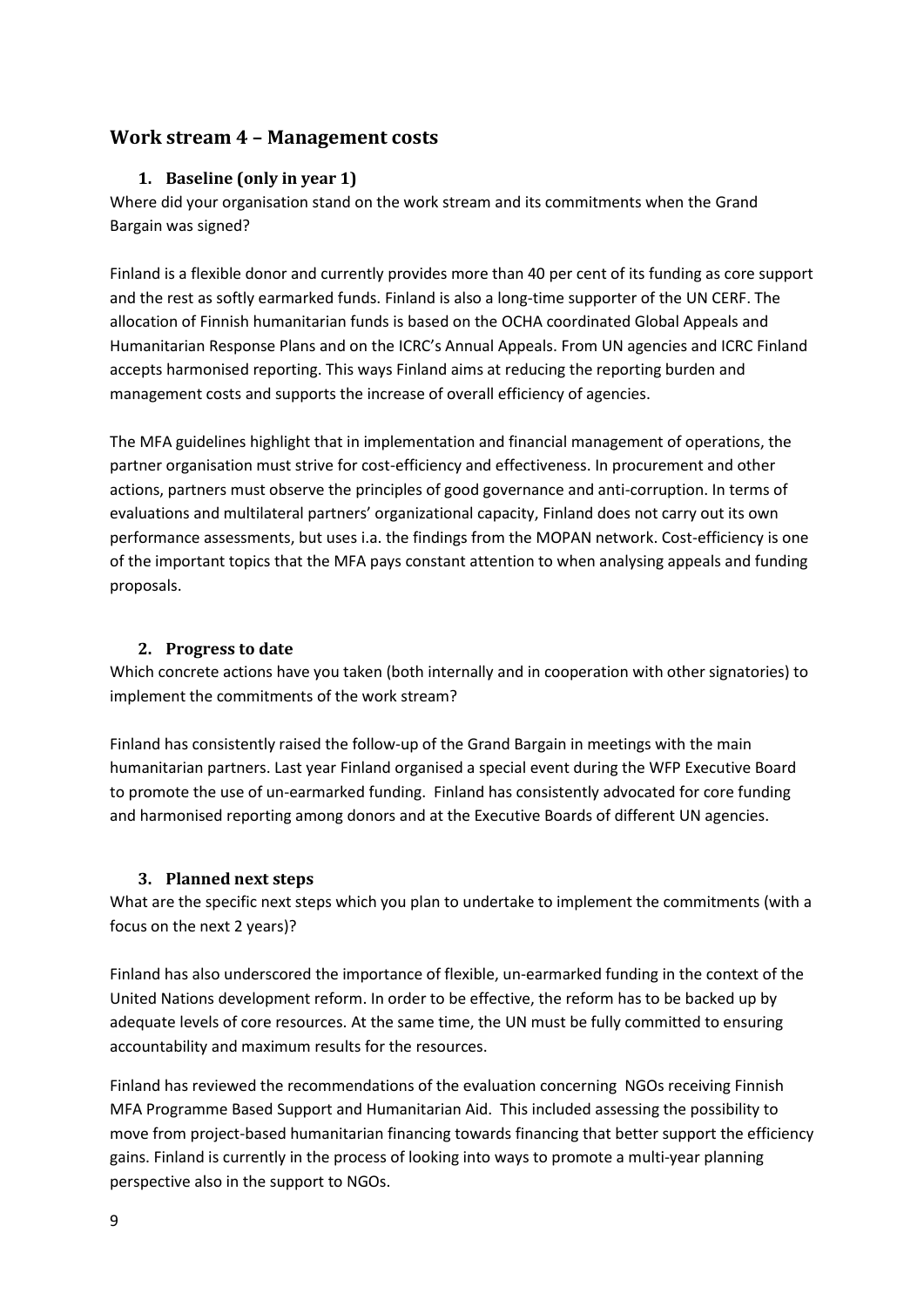## <span id="page-8-1"></span><span id="page-8-0"></span>**Work stream 4 – Management costs**

#### **1. Baseline (only in year 1)**

Where did your organisation stand on the work stream and its commitments when the Grand Bargain was signed?

Finland is a flexible donor and currently provides more than 40 per cent of its funding as core support and the rest as softly earmarked funds. Finland is also a long-time supporter of the UN CERF. The allocation of Finnish humanitarian funds is based on the OCHA coordinated Global Appeals and Humanitarian Response Plans and on the ICRC's Annual Appeals. From UN agencies and ICRC Finland accepts harmonised reporting. This ways Finland aims at reducing the reporting burden and management costs and supports the increase of overall efficiency of agencies.

The MFA guidelines highlight that in implementation and financial management of operations, the partner organisation must strive for cost-efficiency and effectiveness. In procurement and other actions, partners must observe the principles of good governance and anti-corruption. In terms of evaluations and multilateral partners' organizational capacity, Finland does not carry out its own performance assessments, but uses i.a. the findings from the MOPAN network. Cost-efficiency is one of the important topics that the MFA pays constant attention to when analysing appeals and funding proposals.

#### <span id="page-8-2"></span>**2. Progress to date**

Which concrete actions have you taken (both internally and in cooperation with other signatories) to implement the commitments of the work stream?

Finland has consistently raised the follow-up of the Grand Bargain in meetings with the main humanitarian partners. Last year Finland organised a special event during the WFP Executive Board to promote the use of un-earmarked funding. Finland has consistently advocated for core funding and harmonised reporting among donors and at the Executive Boards of different UN agencies.

## <span id="page-8-3"></span>**3. Planned next steps**

What are the specific next steps which you plan to undertake to implement the commitments (with a focus on the next 2 years)?

Finland has also underscored the importance of flexible, un-earmarked funding in the context of the United Nations development reform. In order to be effective, the reform has to be backed up by adequate levels of core resources. At the same time, the UN must be fully committed to ensuring accountability and maximum results for the resources.

Finland has reviewed the recommendations of the evaluation concerning NGOs receiving Finnish MFA Programme Based Support and Humanitarian Aid. This included assessing the possibility to move from project-based humanitarian financing towards financing that better support the efficiency gains. Finland is currently in the process of looking into ways to promote a multi-year planning perspective also in the support to NGOs.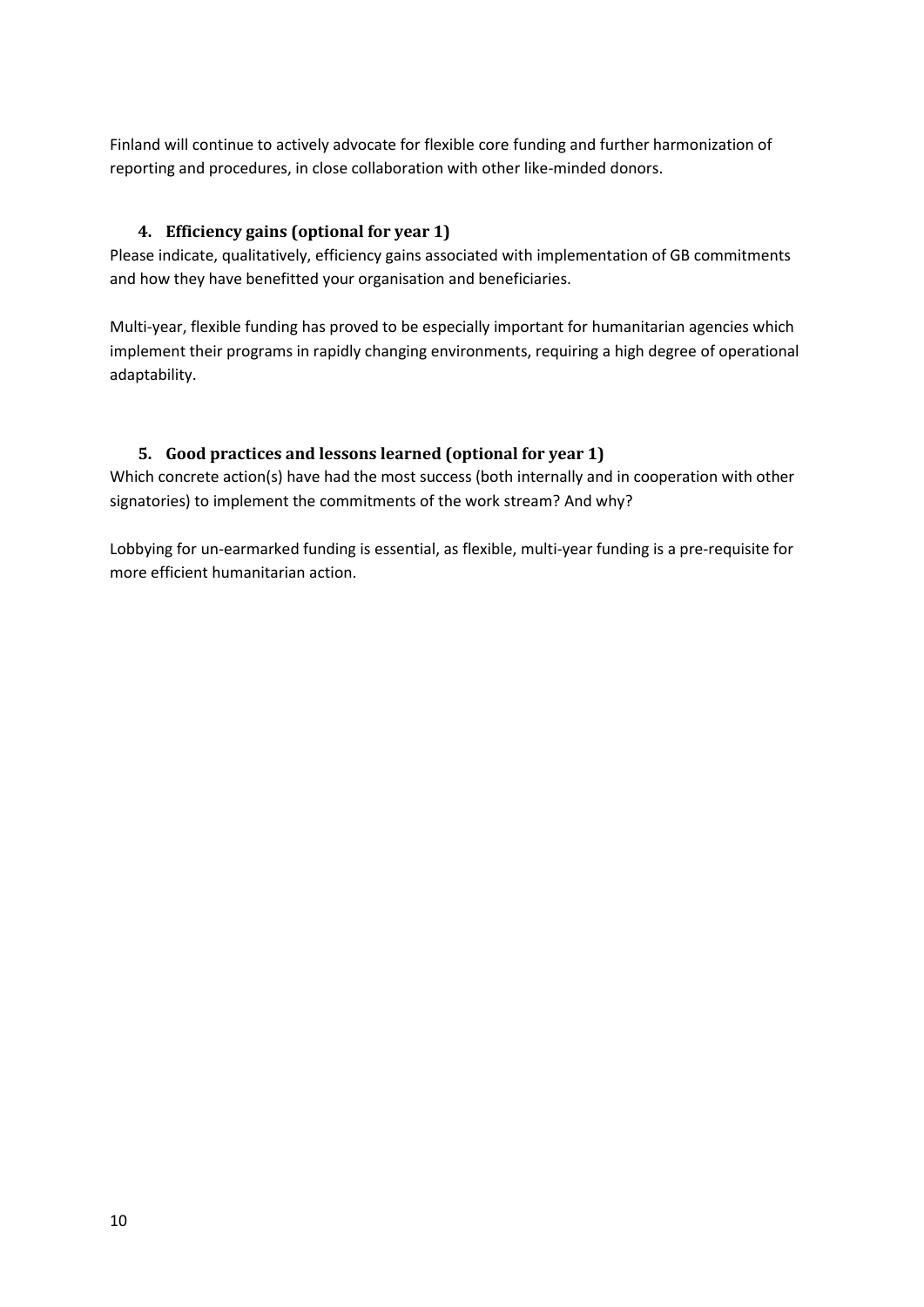Finland will continue to actively advocate for flexible core funding and further harmonization of reporting and procedures, in close collaboration with other like-minded donors.

## <span id="page-9-0"></span>**4. Efficiency gains (optional for year 1)**

Please indicate, qualitatively, efficiency gains associated with implementation of GB commitments and how they have benefitted your organisation and beneficiaries.

Multi-year, flexible funding has proved to be especially important for humanitarian agencies which implement their programs in rapidly changing environments, requiring a high degree of operational adaptability.

## <span id="page-9-1"></span>**5. Good practices and lessons learned (optional for year 1)**

Which concrete action(s) have had the most success (both internally and in cooperation with other signatories) to implement the commitments of the work stream? And why?

Lobbying for un-earmarked funding is essential, as flexible, multi-year funding is a pre-requisite for more efficient humanitarian action.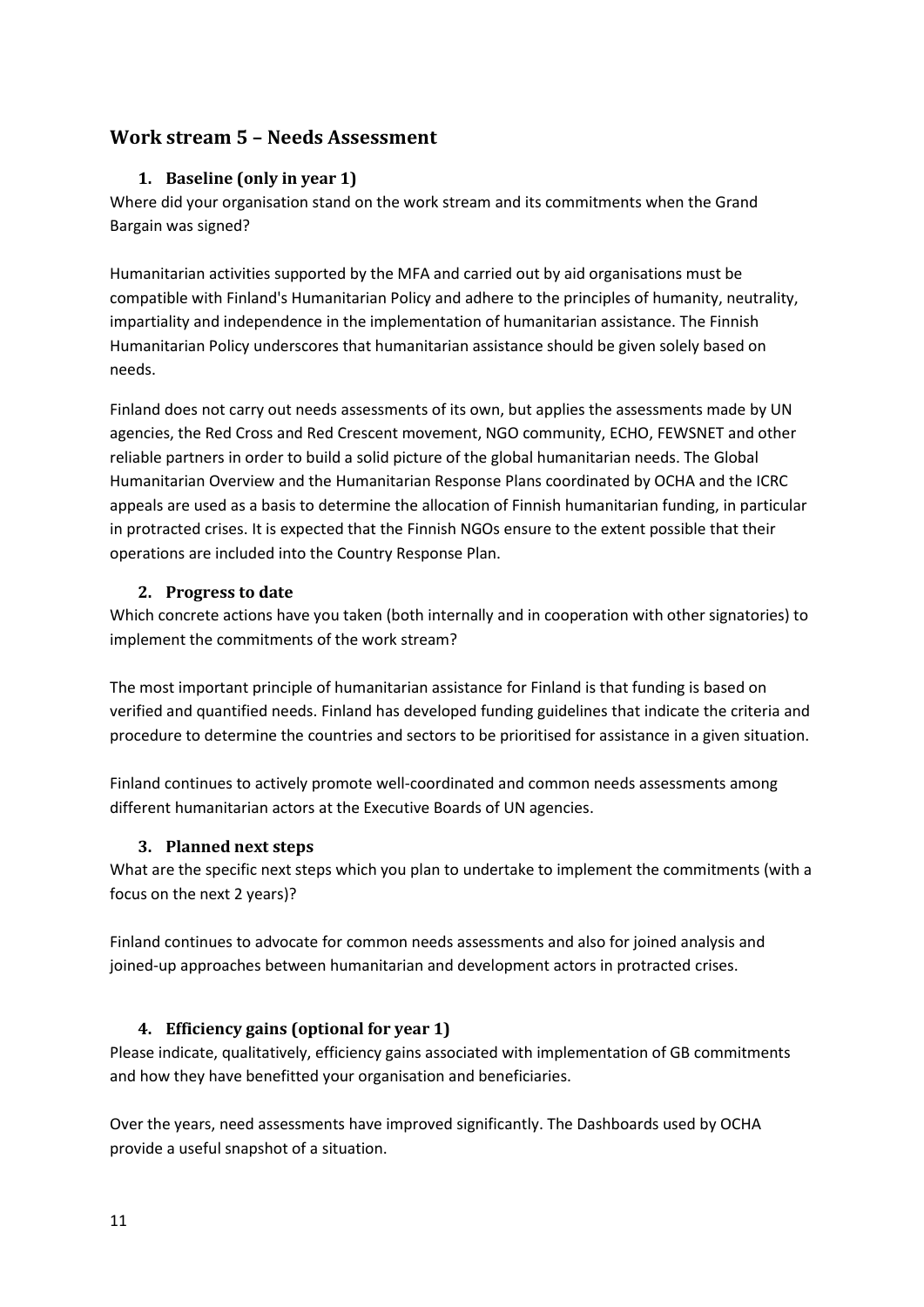## <span id="page-10-1"></span><span id="page-10-0"></span>**Work stream 5 – Needs Assessment**

#### **1. Baseline (only in year 1)**

Where did your organisation stand on the work stream and its commitments when the Grand Bargain was signed?

Humanitarian activities supported by the MFA and carried out by aid organisations must be compatible with Finland's Humanitarian Policy and adhere to the principles of humanity, neutrality, impartiality and independence in the implementation of humanitarian assistance. The Finnish Humanitarian Policy underscores that humanitarian assistance should be given solely based on needs.

Finland does not carry out needs assessments of its own, but applies the assessments made by UN agencies, the Red Cross and Red Crescent movement, NGO community, ECHO, FEWSNET and other reliable partners in order to build a solid picture of the global humanitarian needs. The Global Humanitarian Overview and the Humanitarian Response Plans coordinated by OCHA and the ICRC appeals are used as a basis to determine the allocation of Finnish humanitarian funding, in particular in protracted crises. It is expected that the Finnish NGOs ensure to the extent possible that their operations are included into the Country Response Plan.

#### **2. Progress to date**

<span id="page-10-2"></span>Which concrete actions have you taken (both internally and in cooperation with other signatories) to implement the commitments of the work stream?

The most important principle of humanitarian assistance for Finland is that funding is based on verified and quantified needs. Finland has developed funding guidelines that indicate the criteria and procedure to determine the countries and sectors to be prioritised for assistance in a given situation.

Finland continues to actively promote well-coordinated and common needs assessments among different humanitarian actors at the Executive Boards of UN agencies.

#### <span id="page-10-3"></span>**3. Planned next steps**

What are the specific next steps which you plan to undertake to implement the commitments (with a focus on the next 2 years)?

Finland continues to advocate for common needs assessments and also for joined analysis and joined-up approaches between humanitarian and development actors in protracted crises.

## <span id="page-10-5"></span><span id="page-10-4"></span>**4. Efficiency gains (optional for year 1)**

Please indicate, qualitatively, efficiency gains associated with implementation of GB commitments and how they have benefitted your organisation and beneficiaries.

Over the years, need assessments have improved significantly. The Dashboards used by OCHA provide a useful snapshot of a situation.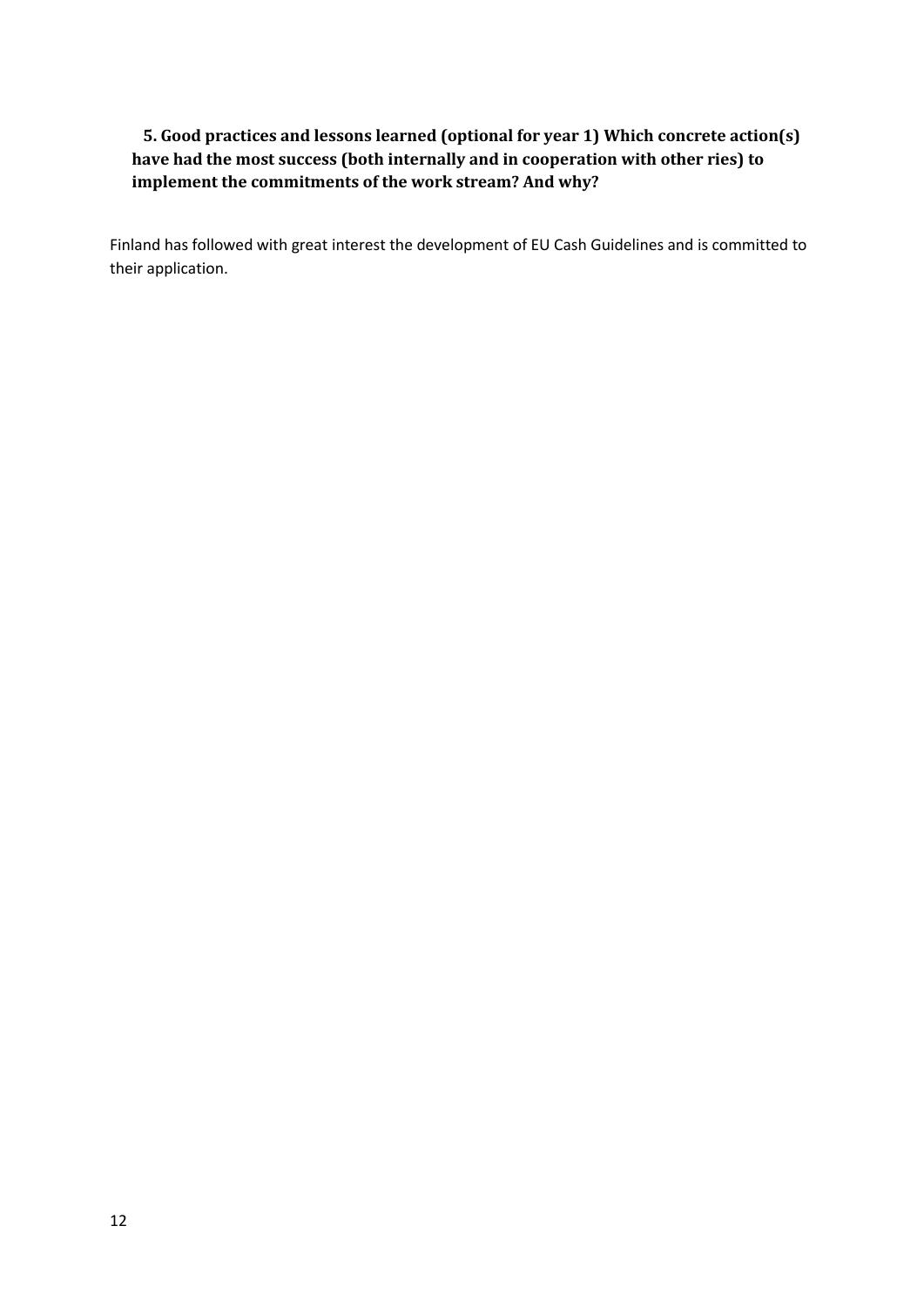## **5. Good practices and lessons learned (optional for year 1) Which concrete action(s) have had the most success (both internally and in cooperation with other ries) to implement the commitments of the work stream? And why?**

Finland has followed with great interest the development of EU Cash Guidelines and is committed to their application.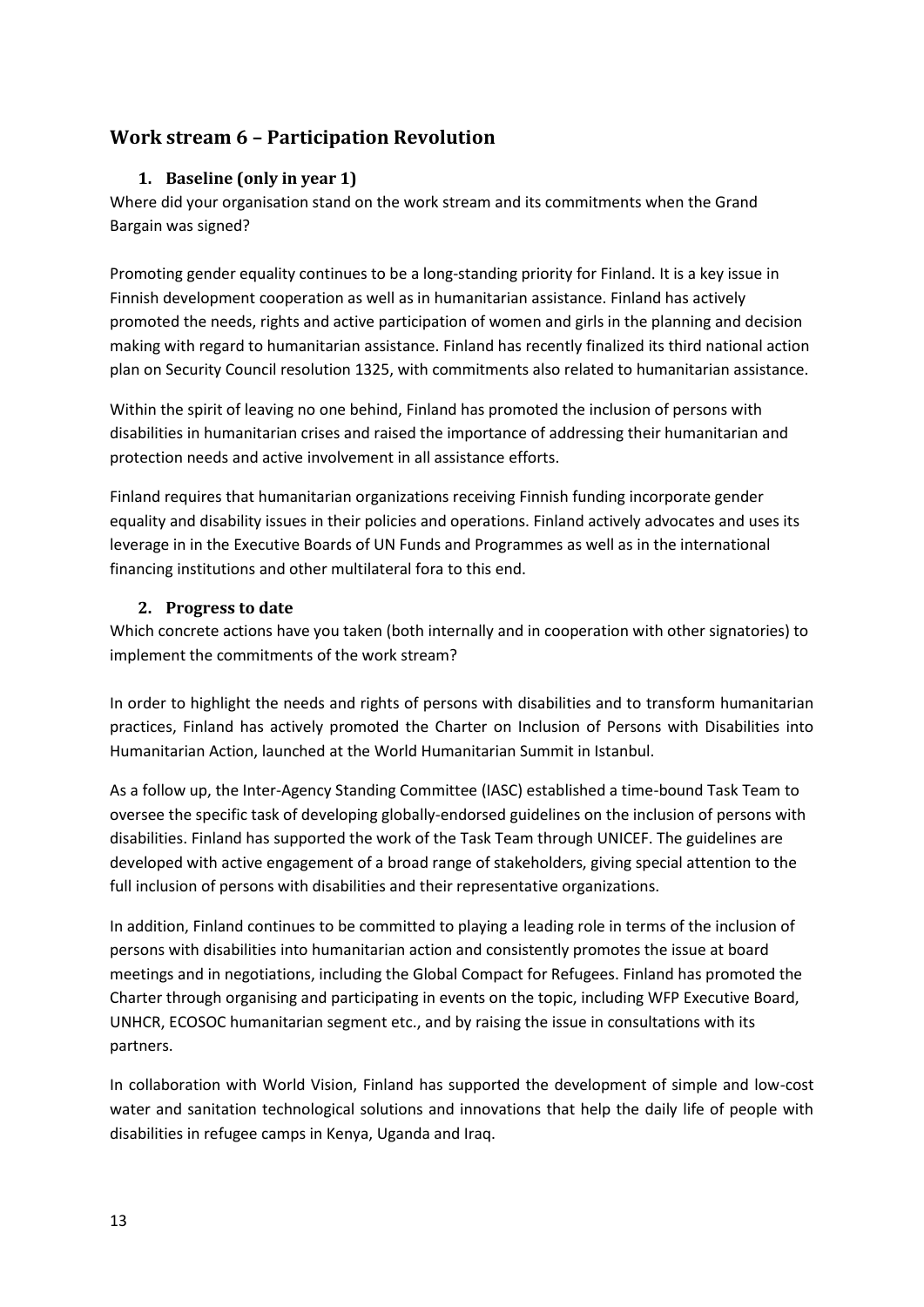## <span id="page-12-1"></span><span id="page-12-0"></span>**Work stream 6 – Participation Revolution**

#### **1. Baseline (only in year 1)**

Where did your organisation stand on the work stream and its commitments when the Grand Bargain was signed?

Promoting gender equality continues to be a long-standing priority for Finland. It is a key issue in Finnish development cooperation as well as in humanitarian assistance. Finland has actively promoted the needs, rights and active participation of women and girls in the planning and decision making with regard to humanitarian assistance. Finland has recently finalized its third national action plan on Security Council resolution 1325, with commitments also related to humanitarian assistance.

Within the spirit of leaving no one behind, Finland has promoted the inclusion of persons with disabilities in humanitarian crises and raised the importance of addressing their humanitarian and protection needs and active involvement in all assistance efforts.

Finland requires that humanitarian organizations receiving Finnish funding incorporate gender equality and disability issues in their policies and operations. Finland actively advocates and uses its leverage in in the Executive Boards of UN Funds and Programmes as well as in the international financing institutions and other multilateral fora to this end.

#### **2. Progress to date**

<span id="page-12-2"></span>Which concrete actions have you taken (both internally and in cooperation with other signatories) to implement the commitments of the work stream?

In order to highlight the needs and rights of persons with disabilities and to transform humanitarian practices, Finland has actively promoted the Charter on Inclusion of Persons with Disabilities into Humanitarian Action, launched at the World Humanitarian Summit in Istanbul.

As a follow up, the Inter-Agency Standing Committee (IASC) established a time-bound Task Team to oversee the specific task of developing globally-endorsed guidelines on the inclusion of persons with disabilities. Finland has supported the work of the Task Team through UNICEF. The guidelines are developed with active engagement of a broad range of stakeholders, giving special attention to the full inclusion of persons with disabilities and their representative organizations.

In addition, Finland continues to be committed to playing a leading role in terms of the inclusion of persons with disabilities into humanitarian action and consistently promotes the issue at board meetings and in negotiations, including the Global Compact for Refugees. Finland has promoted the Charter through organising and participating in events on the topic, including WFP Executive Board, UNHCR, ECOSOC humanitarian segment etc., and by raising the issue in consultations with its partners.

In collaboration with World Vision, Finland has supported the development of simple and low-cost water and sanitation technological solutions and innovations that help the daily life of people with disabilities in refugee camps in Kenya, Uganda and Iraq.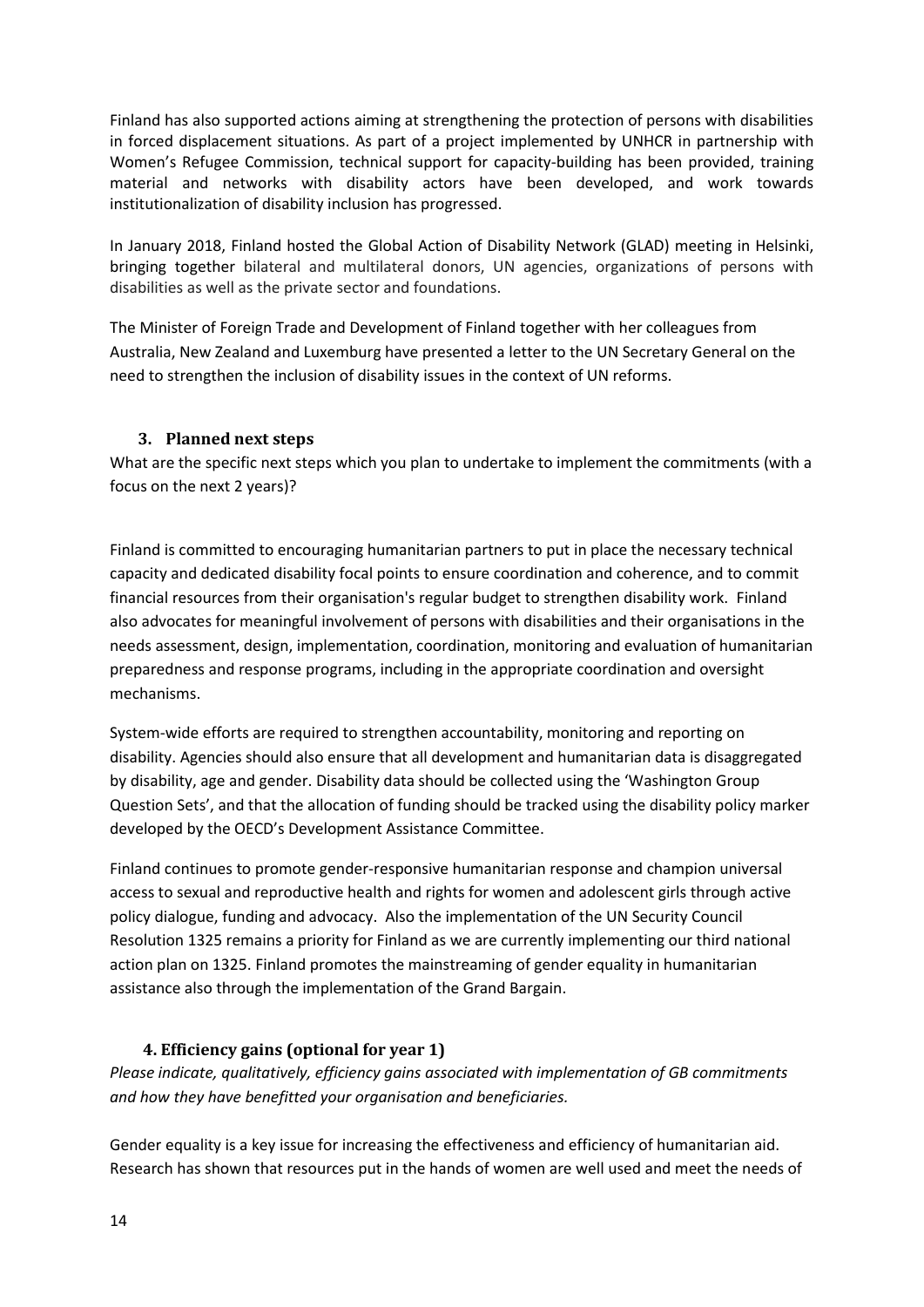Finland has also supported actions aiming at strengthening the protection of persons with disabilities in forced displacement situations. As part of a project implemented by UNHCR in partnership with Women's Refugee Commission, technical support for capacity-building has been provided, training material and networks with disability actors have been developed, and work towards institutionalization of disability inclusion has progressed.

In January 2018, Finland hosted the Global Action of Disability Network (GLAD) meeting in Helsinki, bringing together bilateral and multilateral donors, UN agencies, organizations of persons with disabilities as well as the private sector and foundations.

The Minister of Foreign Trade and Development of Finland together with her colleagues from Australia, New Zealand and Luxemburg have presented a letter to the UN Secretary General on the need to strengthen the inclusion of disability issues in the context of UN reforms.

#### <span id="page-13-0"></span>**3. Planned next steps**

What are the specific next steps which you plan to undertake to implement the commitments (with a focus on the next 2 years)?

Finland is committed to encouraging humanitarian partners to put in place the necessary technical capacity and dedicated disability focal points to ensure coordination and coherence, and to commit financial resources from their organisation's regular budget to strengthen disability work. Finland also advocates for meaningful involvement of persons with disabilities and their organisations in the needs assessment, design, implementation, coordination, monitoring and evaluation of humanitarian preparedness and response programs, including in the appropriate coordination and oversight mechanisms.

System-wide efforts are required to strengthen accountability, monitoring and reporting on disability. Agencies should also ensure that all development and humanitarian data is disaggregated by disability, age and gender. Disability data should be collected using the 'Washington Group Question Sets', and that the allocation of funding should be tracked using the disability policy marker developed by the OECD's Development Assistance Committee.

Finland continues to promote gender-responsive humanitarian response and champion universal access to sexual and reproductive health and rights for women and adolescent girls through active policy dialogue, funding and advocacy. Also the implementation of the UN Security Council Resolution 1325 remains a priority for Finland as we are currently implementing our third national action plan on 1325. Finland promotes the mainstreaming of gender equality in humanitarian assistance also through the implementation of the Grand Bargain.

## <span id="page-13-1"></span>**4. Efficiency gains (optional for year 1)**

*Please indicate, qualitatively, efficiency gains associated with implementation of GB commitments and how they have benefitted your organisation and beneficiaries.*

Gender equality is a key issue for increasing the effectiveness and efficiency of humanitarian aid. Research has shown that resources put in the hands of women are well used and meet the needs of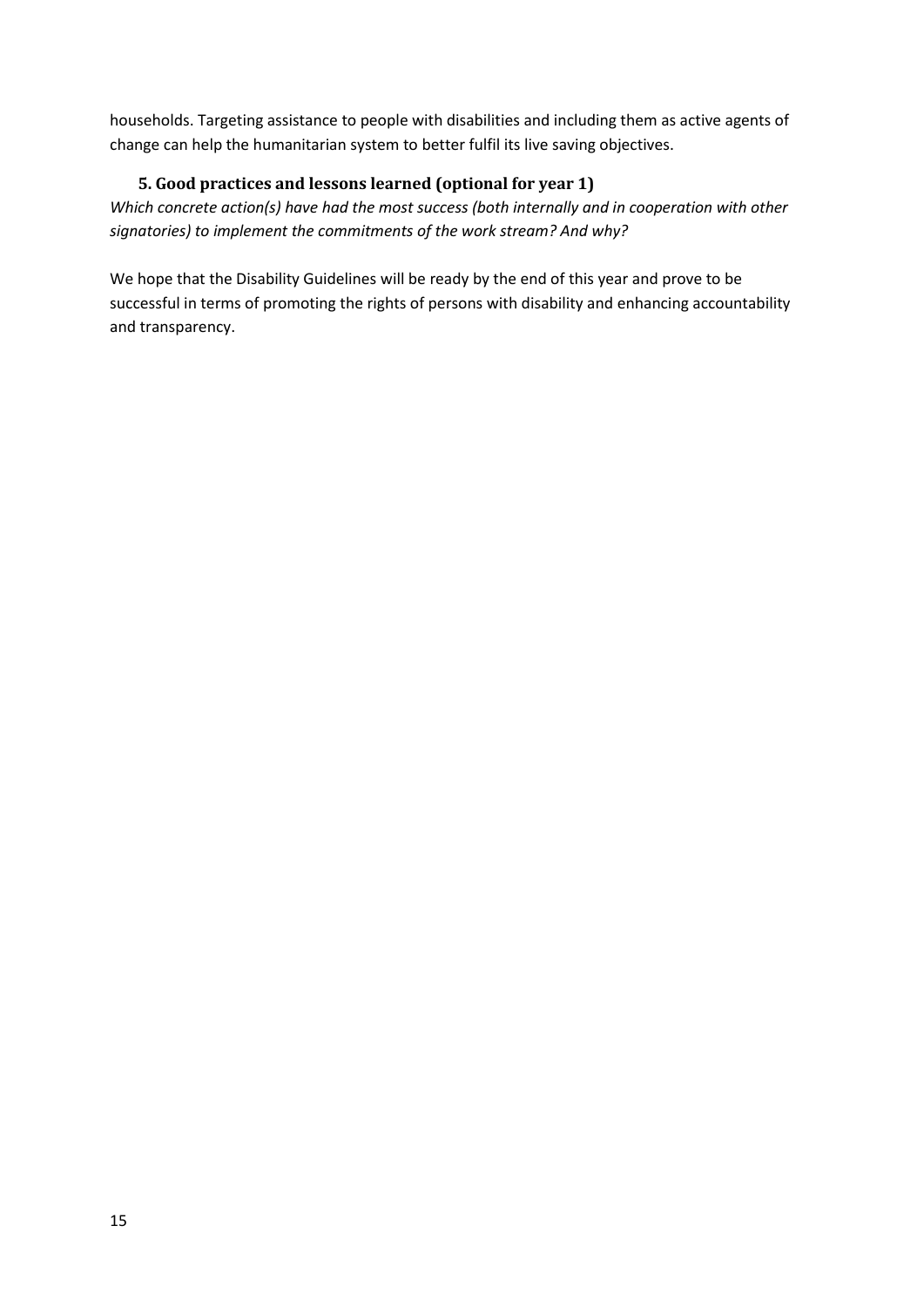households. Targeting assistance to people with disabilities and including them as active agents of change can help the humanitarian system to better fulfil its live saving objectives.

## <span id="page-14-0"></span>**5. Good practices and lessons learned (optional for year 1)**

*Which concrete action(s) have had the most success (both internally and in cooperation with other signatories) to implement the commitments of the work stream? And why?*

We hope that the Disability Guidelines will be ready by the end of this year and prove to be successful in terms of promoting the rights of persons with disability and enhancing accountability and transparency.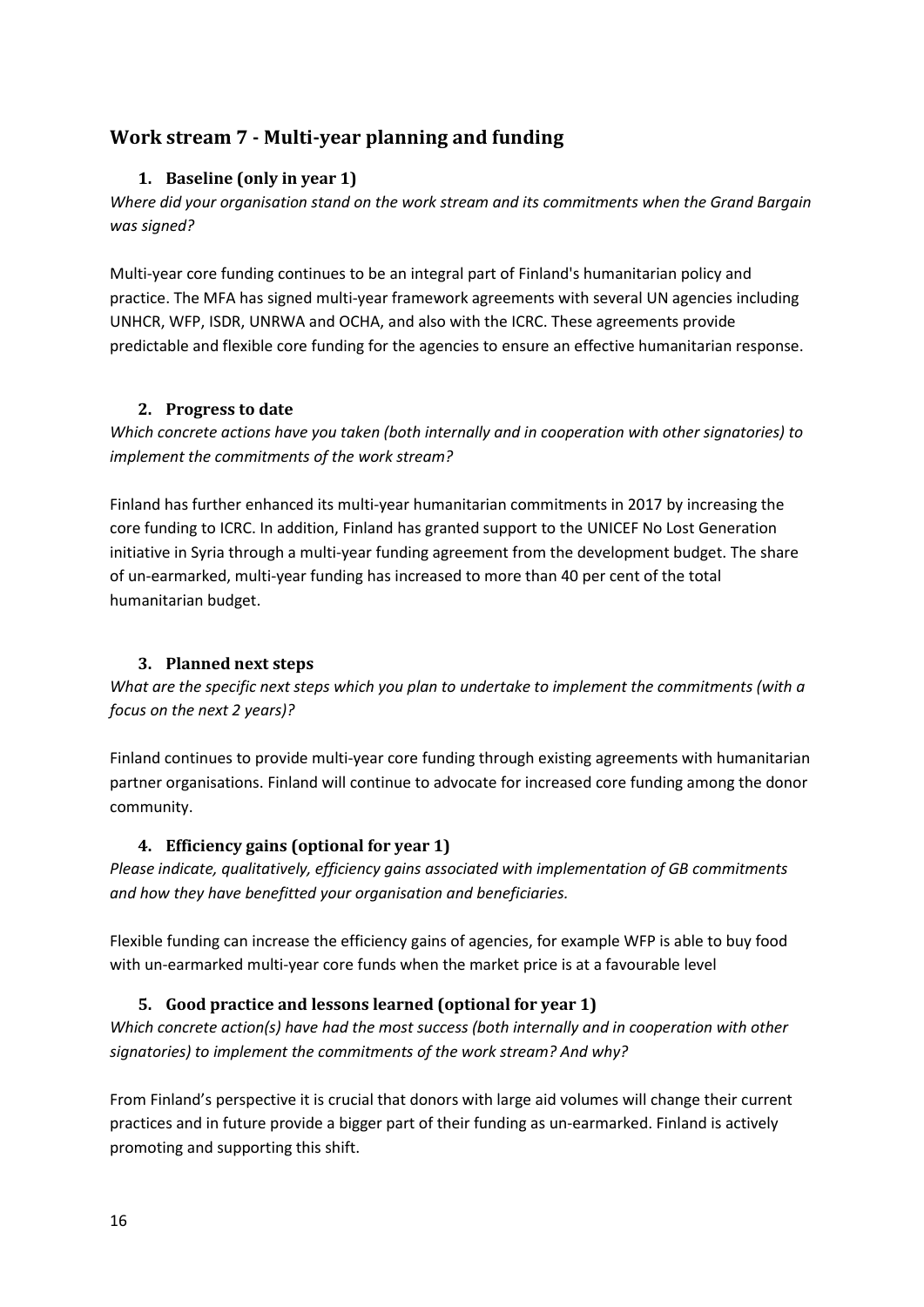## <span id="page-15-1"></span><span id="page-15-0"></span>**Work stream 7 - Multi-year planning and funding**

#### **1. Baseline (only in year 1)**

*Where did your organisation stand on the work stream and its commitments when the Grand Bargain was signed?*

Multi-year core funding continues to be an integral part of Finland's humanitarian policy and practice. The MFA has signed multi-year framework agreements with several UN agencies including UNHCR, WFP, ISDR, UNRWA and OCHA, and also with the ICRC. These agreements provide predictable and flexible core funding for the agencies to ensure an effective humanitarian response.

#### <span id="page-15-2"></span>**2. Progress to date**

*Which concrete actions have you taken (both internally and in cooperation with other signatories) to implement the commitments of the work stream?*

Finland has further enhanced its multi-year humanitarian commitments in 2017 by increasing the core funding to ICRC. In addition, Finland has granted support to the UNICEF No Lost Generation initiative in Syria through a multi-year funding agreement from the development budget. The share of un-earmarked, multi-year funding has increased to more than 40 per cent of the total humanitarian budget.

## <span id="page-15-3"></span>**3. Planned next steps**

*What are the specific next steps which you plan to undertake to implement the commitments (with a focus on the next 2 years)?*

Finland continues to provide multi-year core funding through existing agreements with humanitarian partner organisations. Finland will continue to advocate for increased core funding among the donor community.

#### <span id="page-15-4"></span>**4. Efficiency gains (optional for year 1)**

*Please indicate, qualitatively, efficiency gains associated with implementation of GB commitments and how they have benefitted your organisation and beneficiaries.*

Flexible funding can increase the efficiency gains of agencies, for example WFP is able to buy food with un-earmarked multi-year core funds when the market price is at a favourable level

## <span id="page-15-5"></span>**5. Good practice and lessons learned (optional for year 1)**

*Which concrete action(s) have had the most success (both internally and in cooperation with other signatories) to implement the commitments of the work stream? And why?*

From Finland's perspective it is crucial that donors with large aid volumes will change their current practices and in future provide a bigger part of their funding as un-earmarked. Finland is actively promoting and supporting this shift.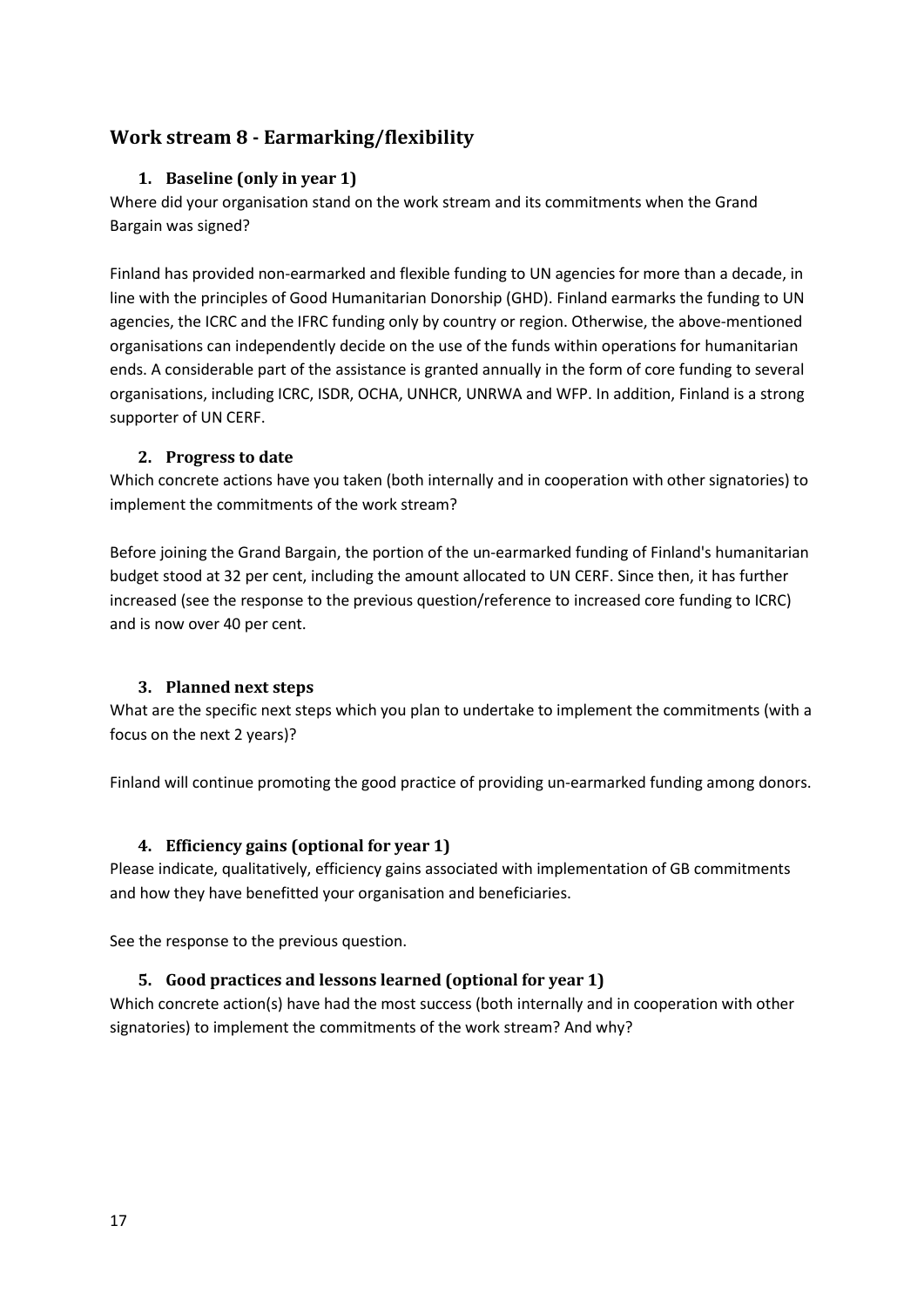## <span id="page-16-1"></span><span id="page-16-0"></span>**Work stream 8 - Earmarking/flexibility**

#### **1. Baseline (only in year 1)**

Where did your organisation stand on the work stream and its commitments when the Grand Bargain was signed?

Finland has provided non-earmarked and flexible funding to UN agencies for more than a decade, in line with the principles of Good Humanitarian Donorship (GHD). Finland earmarks the funding to UN agencies, the ICRC and the IFRC funding only by country or region. Otherwise, the above-mentioned organisations can independently decide on the use of the funds within operations for humanitarian ends. A considerable part of the assistance is granted annually in the form of core funding to several organisations, including ICRC, ISDR, OCHA, UNHCR, UNRWA and WFP. In addition, Finland is a strong supporter of UN CERF.

#### **2. Progress to date**

<span id="page-16-2"></span>Which concrete actions have you taken (both internally and in cooperation with other signatories) to implement the commitments of the work stream?

Before joining the Grand Bargain, the portion of the un-earmarked funding of Finland's humanitarian budget stood at 32 per cent, including the amount allocated to UN CERF. Since then, it has further increased (see the response to the previous question/reference to increased core funding to ICRC) and is now over 40 per cent.

#### <span id="page-16-3"></span>**3. Planned next steps**

What are the specific next steps which you plan to undertake to implement the commitments (with a focus on the next 2 years)?

Finland will continue promoting the good practice of providing un-earmarked funding among donors.

#### <span id="page-16-4"></span>**4. Efficiency gains (optional for year 1)**

Please indicate, qualitatively, efficiency gains associated with implementation of GB commitments and how they have benefitted your organisation and beneficiaries.

<span id="page-16-5"></span>See the response to the previous question.

#### **5. Good practices and lessons learned (optional for year 1)**

Which concrete action(s) have had the most success (both internally and in cooperation with other signatories) to implement the commitments of the work stream? And why?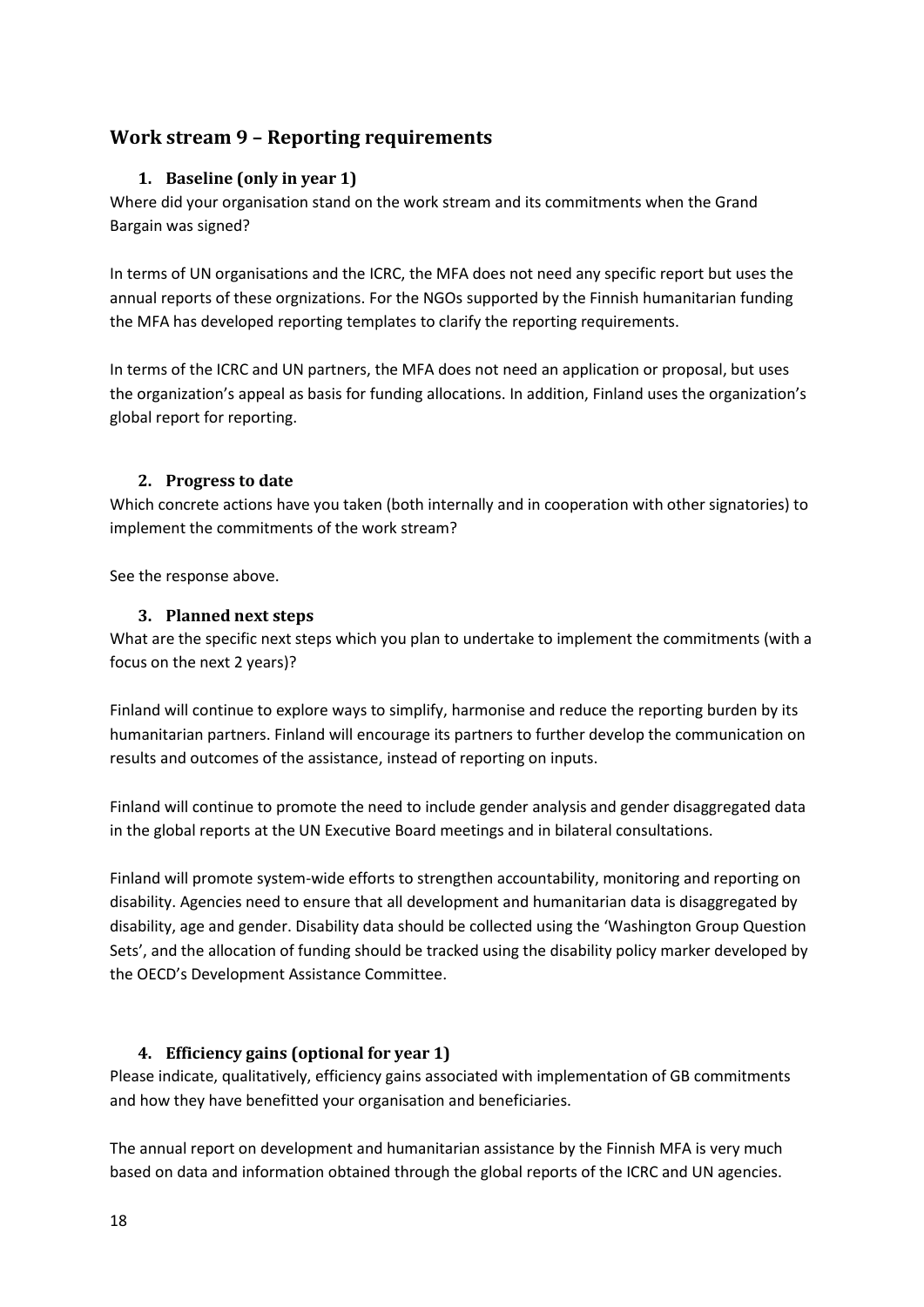## <span id="page-17-1"></span><span id="page-17-0"></span>**Work stream 9 – Reporting requirements**

#### **1. Baseline (only in year 1)**

Where did your organisation stand on the work stream and its commitments when the Grand Bargain was signed?

In terms of UN organisations and the ICRC, the MFA does not need any specific report but uses the annual reports of these orgnizations. For the NGOs supported by the Finnish humanitarian funding the MFA has developed reporting templates to clarify the reporting requirements.

In terms of the ICRC and UN partners, the MFA does not need an application or proposal, but uses the organization's appeal as basis for funding allocations. In addition, Finland uses the organization's global report for reporting.

#### <span id="page-17-2"></span>**2. Progress to date**

Which concrete actions have you taken (both internally and in cooperation with other signatories) to implement the commitments of the work stream?

<span id="page-17-3"></span>See the response above.

#### **3. Planned next steps**

What are the specific next steps which you plan to undertake to implement the commitments (with a focus on the next 2 years)?

Finland will continue to explore ways to simplify, harmonise and reduce the reporting burden by its humanitarian partners. Finland will encourage its partners to further develop the communication on results and outcomes of the assistance, instead of reporting on inputs.

Finland will continue to promote the need to include gender analysis and gender disaggregated data in the global reports at the UN Executive Board meetings and in bilateral consultations.

Finland will promote system-wide efforts to strengthen accountability, monitoring and reporting on disability. Agencies need to ensure that all development and humanitarian data is disaggregated by disability, age and gender. Disability data should be collected using the 'Washington Group Question Sets', and the allocation of funding should be tracked using the disability policy marker developed by the OECD's Development Assistance Committee.

#### <span id="page-17-4"></span>**4. Efficiency gains (optional for year 1)**

Please indicate, qualitatively, efficiency gains associated with implementation of GB commitments and how they have benefitted your organisation and beneficiaries.

The annual report on development and humanitarian assistance by the Finnish MFA is very much based on data and information obtained through the global reports of the ICRC and UN agencies.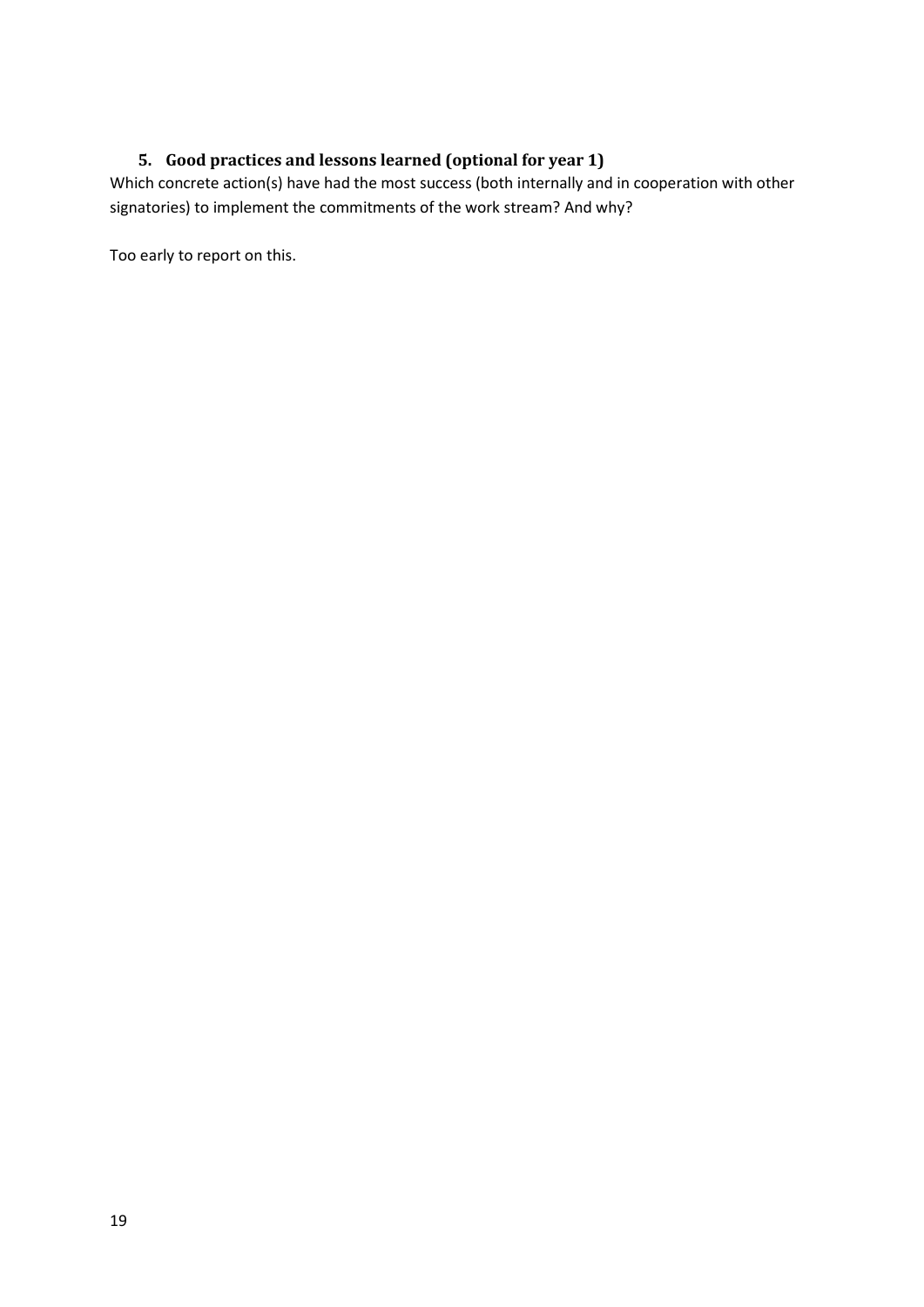## <span id="page-18-0"></span>**5. Good practices and lessons learned (optional for year 1)**

Which concrete action(s) have had the most success (both internally and in cooperation with other signatories) to implement the commitments of the work stream? And why?

Too early to report on this.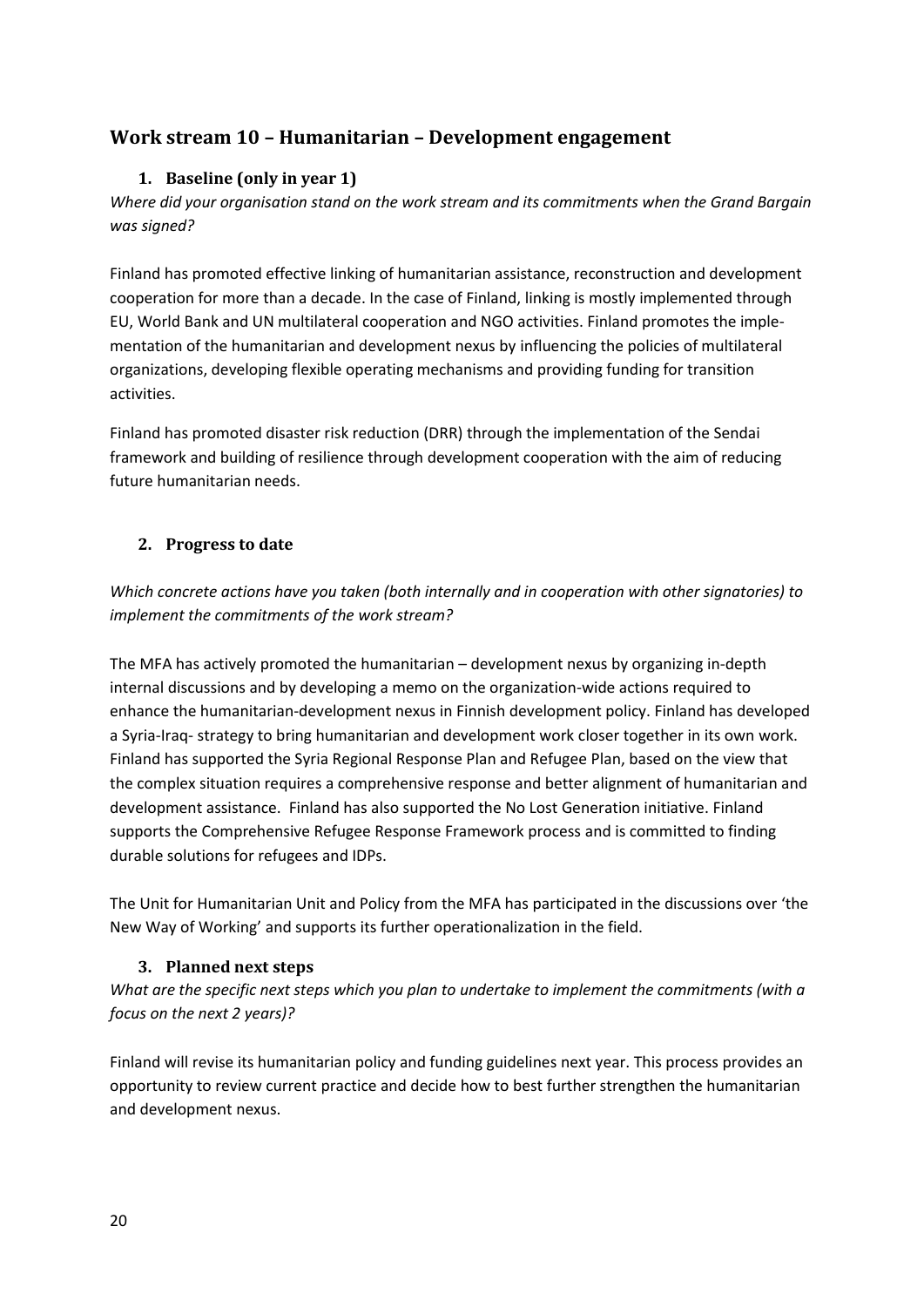## <span id="page-19-1"></span><span id="page-19-0"></span>**Work stream 10 – Humanitarian – Development engagement**

#### **1. Baseline (only in year 1)**

*Where did your organisation stand on the work stream and its commitments when the Grand Bargain was signed?*

Finland has promoted effective linking of humanitarian assistance, reconstruction and development cooperation for more than a decade. In the case of Finland, linking is mostly implemented through EU, World Bank and UN multilateral cooperation and NGO activities. Finland promotes the implementation of the humanitarian and development nexus by influencing the policies of multilateral organizations, developing flexible operating mechanisms and providing funding for transition activities.

Finland has promoted disaster risk reduction (DRR) through the implementation of the Sendai framework and building of resilience through development cooperation with the aim of reducing future humanitarian needs.

#### <span id="page-19-2"></span>**2. Progress to date**

*Which concrete actions have you taken (both internally and in cooperation with other signatories) to implement the commitments of the work stream?*

The MFA has actively promoted the humanitarian – development nexus by organizing in-depth internal discussions and by developing a memo on the organization-wide actions required to enhance the humanitarian-development nexus in Finnish development policy. Finland has developed a Syria-Iraq- strategy to bring humanitarian and development work closer together in its own work. Finland has supported the Syria Regional Response Plan and Refugee Plan, based on the view that the complex situation requires a comprehensive response and better alignment of humanitarian and development assistance. Finland has also supported the No Lost Generation initiative. Finland supports the Comprehensive Refugee Response Framework process and is committed to finding durable solutions for refugees and IDPs.

The Unit for Humanitarian Unit and Policy from the MFA has participated in the discussions over 'the New Way of Working' and supports its further operationalization in the field.

#### <span id="page-19-3"></span>**3. Planned next steps**

*What are the specific next steps which you plan to undertake to implement the commitments (with a focus on the next 2 years)?*

Finland will revise its humanitarian policy and funding guidelines next year. This process provides an opportunity to review current practice and decide how to best further strengthen the humanitarian and development nexus.